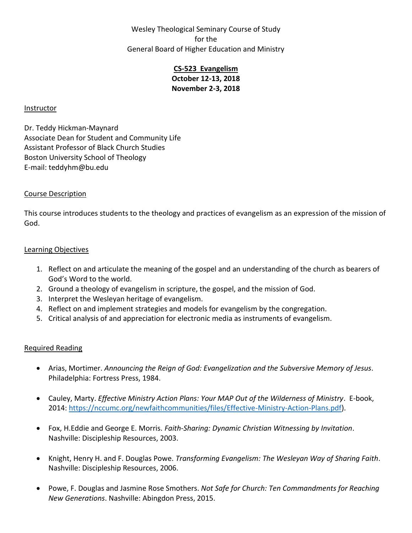Wesley Theological Seminary Course of Study for the General Board of Higher Education and Ministry

> **CS-523 Evangelism October 12-13, 2018 November 2-3, 2018**

#### Instructor

Dr. Teddy Hickman-Maynard Associate Dean for Student and Community Life Assistant Professor of Black Church Studies Boston University School of Theology E-mail: teddyhm@bu.edu

## Course Description

This course introduces students to the theology and practices of evangelism as an expression of the mission of God.

## Learning Objectives

- 1. Reflect on and articulate the meaning of the gospel and an understanding of the church as bearers of God's Word to the world.
- 2. Ground a theology of evangelism in scripture, the gospel, and the mission of God.
- 3. Interpret the Wesleyan heritage of evangelism.
- 4. Reflect on and implement strategies and models for evangelism by the congregation.
- 5. Critical analysis of and appreciation for electronic media as instruments of evangelism.

## Required Reading

- Arias, Mortimer. *Announcing the Reign of God: Evangelization and the Subversive Memory of Jesus*. Philadelphia: Fortress Press, 1984.
- Cauley, Marty. *Effective Ministry Action Plans: Your MAP Out of the Wilderness of Ministry*. E-book, 2014: [https://nccumc.org/newfaithcommunities/files/Effective-Ministry-Action-Plans.pdf\)](https://nccumc.org/newfaithcommunities/files/Effective-Ministry-Action-Plans.pdf).
- Fox, H.Eddie and George E. Morris. *Faith-Sharing: Dynamic Christian Witnessing by Invitation*. Nashville: Discipleship Resources, 2003.
- Knight, Henry H. and F. Douglas Powe. *Transforming Evangelism: The Wesleyan Way of Sharing Faith*. Nashville: Discipleship Resources, 2006.
- Powe, F. Douglas and Jasmine Rose Smothers. *Not Safe for Church: Ten Commandments for Reaching New Generations*. Nashville: Abingdon Press, 2015.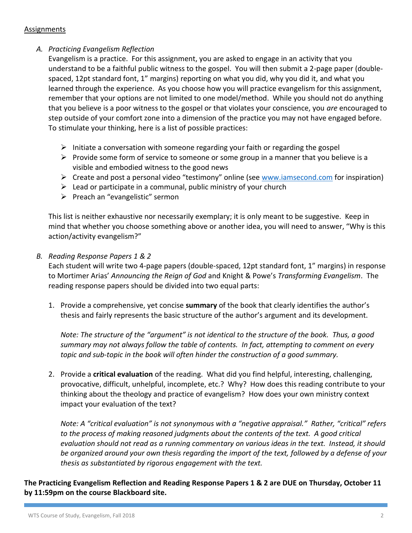## Assignments

## *A. Practicing Evangelism Reflection*

Evangelism is a practice. For this assignment, you are asked to engage in an activity that you understand to be a faithful public witness to the gospel. You will then submit a 2-page paper (doublespaced, 12pt standard font, 1" margins) reporting on what you did, why you did it, and what you learned through the experience. As you choose how you will practice evangelism for this assignment, remember that your options are not limited to one model/method. While you should not do anything that you believe is a poor witness to the gospel or that violates your conscience, you *are* encouraged to step outside of your comfort zone into a dimension of the practice you may not have engaged before. To stimulate your thinking, here is a list of possible practices:

- $\triangleright$  Initiate a conversation with someone regarding your faith or regarding the gospel
- $\triangleright$  Provide some form of service to someone or some group in a manner that you believe is a visible and embodied witness to the good news
- $\triangleright$  Create and post a personal video "testimony" online (see [www.iamsecond.com](http://www.iamsecond.com/) for inspiration)
- $\triangleright$  Lead or participate in a communal, public ministry of your church
- $\triangleright$  Preach an "evangelistic" sermon

This list is neither exhaustive nor necessarily exemplary; it is only meant to be suggestive. Keep in mind that whether you choose something above or another idea, you will need to answer, "Why is this action/activity evangelism?"

#### *B. Reading Response Papers 1 & 2*

Each student will write two 4-page papers (double-spaced, 12pt standard font, 1" margins) in response to Mortimer Arias' *Announcing the Reign of God* and Knight & Powe's *Transforming Evangelism*. The reading response papers should be divided into two equal parts:

1. Provide a comprehensive, yet concise **summary** of the book that clearly identifies the author's thesis and fairly represents the basic structure of the author's argument and its development.

*Note: The structure of the "argument" is not identical to the structure of the book. Thus, a good summary may not always follow the table of contents. In fact, attempting to comment on every topic and sub-topic in the book will often hinder the construction of a good summary.*

2. Provide a **critical evaluation** of the reading. What did you find helpful, interesting, challenging, provocative, difficult, unhelpful, incomplete, etc.? Why? How does this reading contribute to your thinking about the theology and practice of evangelism? How does your own ministry context impact your evaluation of the text?

*Note: A "critical evaluation" is not synonymous with a "negative appraisal." Rather, "critical" refers to the process of making reasoned judgments about the contents of the text. A good critical evaluation should not read as a running commentary on various ideas in the text. Instead, it should be organized around your own thesis regarding the import of the text, followed by a defense of your thesis as substantiated by rigorous engagement with the text.*

**The Practicing Evangelism Reflection and Reading Response Papers 1 & 2 are DUE on Thursday, October 11 by 11:59pm on the course Blackboard site.**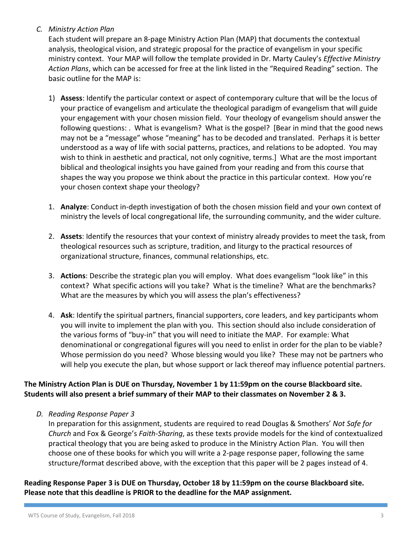# *C. Ministry Action Plan*

Each student will prepare an 8-page Ministry Action Plan (MAP) that documents the contextual analysis, theological vision, and strategic proposal for the practice of evangelism in your specific ministry context. Your MAP will follow the template provided in Dr. Marty Cauley's *Effective Ministry Action Plans*, which can be accessed for free at the link listed in the "Required Reading" section. The basic outline for the MAP is:

- 1) **Assess**: Identify the particular context or aspect of contemporary culture that will be the locus of your practice of evangelism and articulate the theological paradigm of evangelism that will guide your engagement with your chosen mission field. Your theology of evangelism should answer the following questions: . What is evangelism? What is the gospel? [Bear in mind that the good news may not be a "message" whose "meaning" has to be decoded and translated. Perhaps it is better understood as a way of life with social patterns, practices, and relations to be adopted. You may wish to think in aesthetic and practical, not only cognitive, terms.] What are the most important biblical and theological insights you have gained from your reading and from this course that shapes the way you propose we think about the practice in this particular context. How you're your chosen context shape your theology?
- 1. **Analyze**: Conduct in-depth investigation of both the chosen mission field and your own context of ministry the levels of local congregational life, the surrounding community, and the wider culture.
- 2. **Assets**: Identify the resources that your context of ministry already provides to meet the task, from theological resources such as scripture, tradition, and liturgy to the practical resources of organizational structure, finances, communal relationships, etc.
- 3. **Actions**: Describe the strategic plan you will employ. What does evangelism "look like" in this context? What specific actions will you take? What is the timeline? What are the benchmarks? What are the measures by which you will assess the plan's effectiveness?
- 4. **Ask**: Identify the spiritual partners, financial supporters, core leaders, and key participants whom you will invite to implement the plan with you. This section should also include consideration of the various forms of "buy-in" that you will need to initiate the MAP. For example: What denominational or congregational figures will you need to enlist in order for the plan to be viable? Whose permission do you need? Whose blessing would you like? These may not be partners who will help you execute the plan, but whose support or lack thereof may influence potential partners.

# **The Ministry Action Plan is DUE on Thursday, November 1 by 11:59pm on the course Blackboard site. Students will also present a brief summary of their MAP to their classmates on November 2 & 3.**

*D. Reading Response Paper 3*

In preparation for this assignment, students are required to read Douglas & Smothers' *Not Safe for Church* and Fox & George's *Faith-Sharing*, as these texts provide models for the kind of contextualized practical theology that you are being asked to produce in the Ministry Action Plan. You will then choose one of these books for which you will write a 2-page response paper, following the same structure/format described above, with the exception that this paper will be 2 pages instead of 4.

**Reading Response Paper 3 is DUE on Thursday, October 18 by 11:59pm on the course Blackboard site. Please note that this deadline is PRIOR to the deadline for the MAP assignment.**